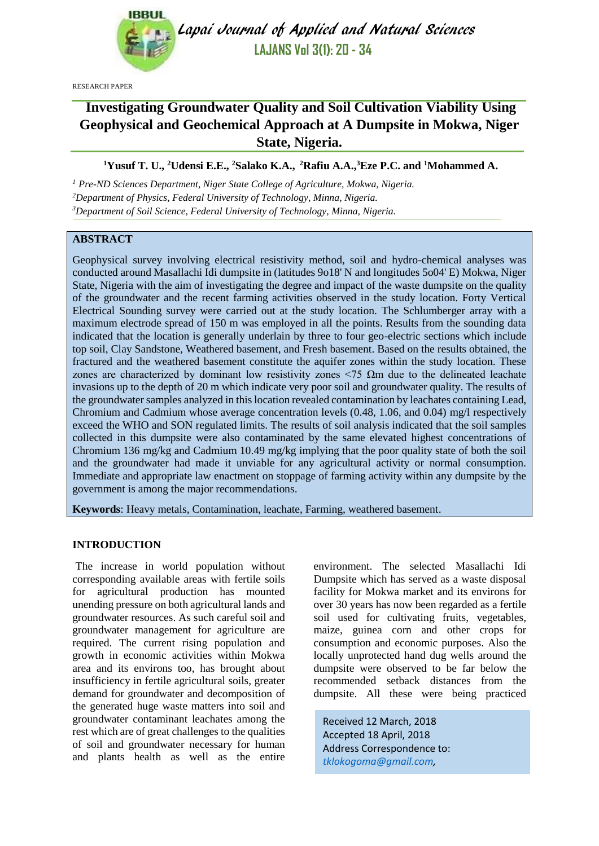

Lapai Journal of Applied and Natural Sciences **LAJANS Vol 3(1): 20 - 34**

RESEARCH PAPER

# **Investigating Groundwater Quality and Soil Cultivation Viability Using Geophysical and Geochemical Approach at A Dumpsite in Mokwa, Niger State, Nigeria.**

# **<sup>1</sup>Yusuf T. U., <sup>2</sup>Udensi E.E., <sup>2</sup>Salako K.A., <sup>2</sup>Rafiu A.A.,<sup>3</sup>Eze P.C. and <sup>1</sup>Mohammed A.**

*<sup>1</sup> Pre-ND Sciences Department, Niger State College of Agriculture, Mokwa, Nigeria. <sup>2</sup>Department of Physics, Federal University of Technology, Minna, Nigeria. <sup>3</sup>Department of Soil Science, Federal University of Technology, Minna, Nigeria.*

# **ABSTRACT**

Geophysical survey involving electrical resistivity method, soil and hydro-chemical analyses was conducted around Masallachi Idi dumpsite in (latitudes 9o18' N and longitudes 5o04' E) Mokwa, Niger State, Nigeria with the aim of investigating the degree and impact of the waste dumpsite on the quality of the groundwater and the recent farming activities observed in the study location. Forty Vertical Electrical Sounding survey were carried out at the study location. The Schlumberger array with a maximum electrode spread of 150 m was employed in all the points. Results from the sounding data indicated that the location is generally underlain by three to four geo-electric sections which include top soil, Clay Sandstone, Weathered basement, and Fresh basement. Based on the results obtained, the fractured and the weathered basement constitute the aquifer zones within the study location. These zones are characterized by dominant low resistivity zones  $\langle 75 \Omega \text{m} \rangle$  due to the delineated leachate invasions up to the depth of 20 m which indicate very poor soil and groundwater quality. The results of the groundwater samples analyzed in this location revealed contamination by leachates containing Lead, Chromium and Cadmium whose average concentration levels (0.48, 1.06, and 0.04) mg/l respectively exceed the WHO and SON regulated limits. The results of soil analysis indicated that the soil samples collected in this dumpsite were also contaminated by the same elevated highest concentrations of Chromium 136 mg/kg and Cadmium 10.49 mg/kg implying that the poor quality state of both the soil and the groundwater had made it unviable for any agricultural activity or normal consumption. Immediate and appropriate law enactment on stoppage of farming activity within any dumpsite by the government is among the major recommendations.

**Keywords**: Heavy metals, Contamination, leachate, Farming, weathered basement.

# **INTRODUCTION**

The increase in world population without corresponding available areas with fertile soils for agricultural production has mounted unending pressure on both agricultural lands and groundwater resources. As such careful soil and groundwater management for agriculture are required. The current rising population and growth in economic activities within Mokwa area and its environs too, has brought about insufficiency in fertile agricultural soils, greater demand for groundwater and decomposition of the generated huge waste matters into soil and groundwater contaminant leachates among the rest which are of great challenges to the qualities of soil and groundwater necessary for human and plants health as well as the entire environment. The selected Masallachi Idi Dumpsite which has served as a waste disposal facility for Mokwa market and its environs for over 30 years has now been regarded as a fertile soil used for cultivating fruits, vegetables, maize, guinea corn and other crops for consumption and economic purposes. Also the locally unprotected hand dug wells around the dumpsite were observed to be far below the recommended setback distances from the dumpsite. All these were being practiced

Received 12 March, 2018 Accepted 18 April, 2018 Address Correspondence to: *[tklokogoma@gmail.com,](mailto:tklokogoma@gmail.com)*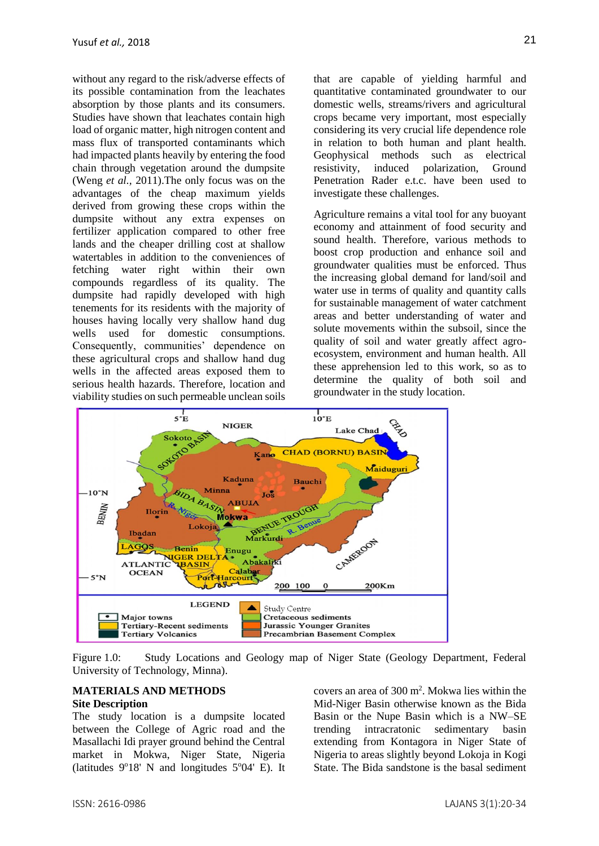without any regard to the risk/adverse effects of its possible contamination from the leachates absorption by those plants and its consumers. Studies have shown that leachates contain high load of organic matter, high nitrogen content and mass flux of transported contaminants which had impacted plants heavily by entering the food chain through vegetation around the dumpsite (Weng *et al.,* 2011).The only focus was on the advantages of the cheap maximum yields derived from growing these crops within the dumpsite without any extra expenses on fertilizer application compared to other free lands and the cheaper drilling cost at shallow watertables in addition to the conveniences of fetching water right within their own compounds regardless of its quality. The dumpsite had rapidly developed with high tenements for its residents with the majority of houses having locally very shallow hand dug wells used for domestic consumptions. Consequently, communities' dependence on these agricultural crops and shallow hand dug wells in the affected areas exposed them to serious health hazards. Therefore, location and viability studies on such permeable unclean soils that are capable of yielding harmful and quantitative contaminated groundwater to our domestic wells, streams/rivers and agricultural crops became very important, most especially considering its very crucial life dependence role in relation to both human and plant health. Geophysical methods such as electrical resistivity, induced polarization, Ground Penetration Rader e.t.c. have been used to investigate these challenges.

Agriculture remains a vital tool for any buoyant economy and attainment of food security and sound health. Therefore, various methods to boost crop production and enhance soil and groundwater qualities must be enforced. Thus the increasing global demand for land/soil and water use in terms of quality and quantity calls for sustainable management of water catchment areas and better understanding of water and solute movements within the subsoil, since the quality of soil and water greatly affect agroecosystem, environment and human health. All these apprehension led to this work, so as to determine the quality of both soil and groundwater in the study location.



Figure 1.0: Study Locations and Geology map of Niger State (Geology Department, Federal University of Technology, Minna).

## **MATERIALS AND METHODS Site Description**

The study location is a dumpsite located between the College of Agric road and the Masallachi Idi prayer ground behind the Central market in Mokwa, Niger State, Nigeria (latitudes  $9^{\circ}18'$  N and longitudes  $5^{\circ}04'$  E). It

covers an area of 300 m<sup>2</sup> . Mokwa lies within the Mid-Niger Basin otherwise known as the Bida Basin or the Nupe Basin which is a NW–SE trending intracratonic sedimentary basin extending from Kontagora in Niger State of Nigeria to areas slightly beyond Lokoja in Kogi State. The Bida sandstone is the basal sediment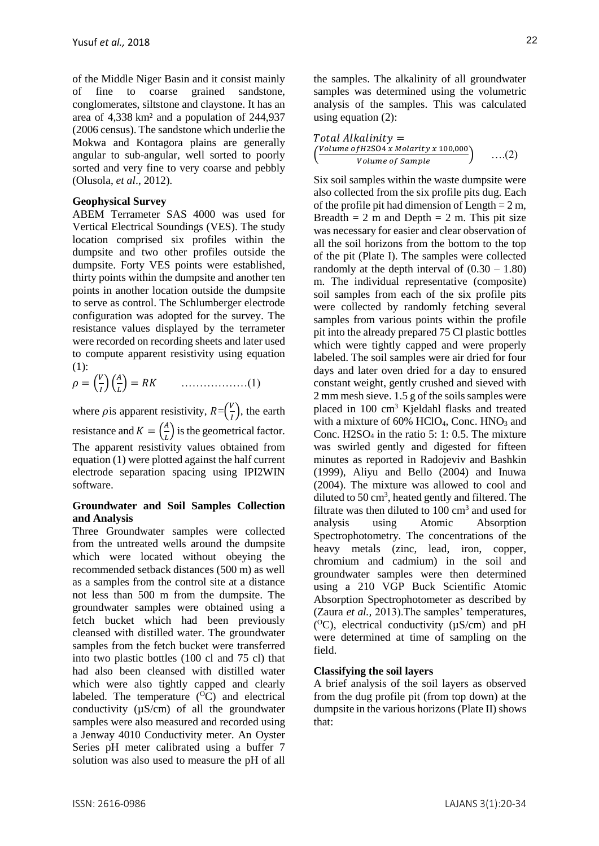of the Middle Niger Basin and it consist mainly of fine to coarse grained sandstone, conglomerates, siltstone and claystone. It has an area of 4,338 km² and a population of 244,937 (2006 census). The sandstone which underlie the Mokwa and Kontagora plains are generally angular to sub-angular, well sorted to poorly sorted and very fine to very coarse and pebbly (Olusola, *et al*., 2012).

# **Geophysical Survey**

ABEM Terrameter SAS 4000 was used for Vertical Electrical Soundings (VES). The study location comprised six profiles within the dumpsite and two other profiles outside the dumpsite. Forty VES points were established, thirty points within the dumpsite and another ten points in another location outside the dumpsite to serve as control. The Schlumberger electrode configuration was adopted for the survey. The resistance values displayed by the terrameter were recorded on recording sheets and later used to compute apparent resistivity using equation  $(1)$ :

 = ( ) ( ) = ………………(1)

where *p* is apparent resistivity,  $R = (\frac{V}{I})$  $\frac{v}{I}$ , the earth resistance and  $K = \left(\frac{A}{I}\right)$  $\left(\frac{A}{L}\right)$  is the geometrical factor. The apparent resistivity values obtained from equation (1) were plotted against the half current electrode separation spacing using IPI2WIN software.

# **Groundwater and Soil Samples Collection and Analysis**

Three Groundwater samples were collected from the untreated wells around the dumpsite which were located without obeying the recommended setback distances (500 m) as well as a samples from the control site at a distance not less than 500 m from the dumpsite. The groundwater samples were obtained using a fetch bucket which had been previously cleansed with distilled water. The groundwater samples from the fetch bucket were transferred into two plastic bottles (100 cl and 75 cl) that had also been cleansed with distilled water which were also tightly capped and clearly labeled. The temperature  $(^{O}C)$  and electrical conductivity (µS/cm) of all the groundwater samples were also measured and recorded using a Jenway 4010 Conductivity meter. An Oyster Series pH meter calibrated using a buffer 7 solution was also used to measure the pH of all

the samples. The alkalinity of all groundwater samples was determined using the volumetric analysis of the samples. This was calculated using equation  $(2)$ :

$$
Total Alkalinity =
$$
  
\n
$$
\left(\frac{Volume \ of H2SO4 \ x \ Molarity \ x \ 100,000}{Volume \ of \ Sample}\right) \ \ \ldots (2)
$$

Six soil samples within the waste dumpsite were also collected from the six profile pits dug. Each of the profile pit had dimension of Length  $= 2$  m. Breadth  $= 2$  m and Depth  $= 2$  m. This pit size was necessary for easier and clear observation of all the soil horizons from the bottom to the top of the pit (Plate I). The samples were collected randomly at the depth interval of  $(0.30 - 1.80)$ m. The individual representative (composite) soil samples from each of the six profile pits were collected by randomly fetching several samples from various points within the profile pit into the already prepared 75 Cl plastic bottles which were tightly capped and were properly labeled. The soil samples were air dried for four days and later oven dried for a day to ensured constant weight, gently crushed and sieved with 2 mm mesh sieve. 1.5 g of the soils samples were placed in 100 cm<sup>3</sup> Kjeldahl flasks and treated with a mixture of  $60\%$  HClO<sub>4</sub>, Conc. HNO<sub>3</sub> and Conc.  $H2SO<sub>4</sub>$  in the ratio 5: 1: 0.5. The mixture was swirled gently and digested for fifteen minutes as reported in Radojeviv and Bashkin (1999), Aliyu and Bello (2004) and Inuwa (2004). The mixture was allowed to cool and diluted to  $50 \text{ cm}^3$ , heated gently and filtered. The filtrate was then diluted to  $100 \text{ cm}^3$  and used for analysis using Atomic Absorption Spectrophotometry. The concentrations of the heavy metals (zinc, lead, iron, copper, chromium and cadmium) in the soil and groundwater samples were then determined using a 210 VGP Buck Scientific Atomic Absorption Spectrophotometer as described by (Zaura *et al.,* 2013).The samples' temperatures, ( <sup>O</sup>C), electrical conductivity (µS/cm) and pH were determined at time of sampling on the field.

# **Classifying the soil layers**

A brief analysis of the soil layers as observed from the dug profile pit (from top down) at the dumpsite in the various horizons (Plate II) shows that: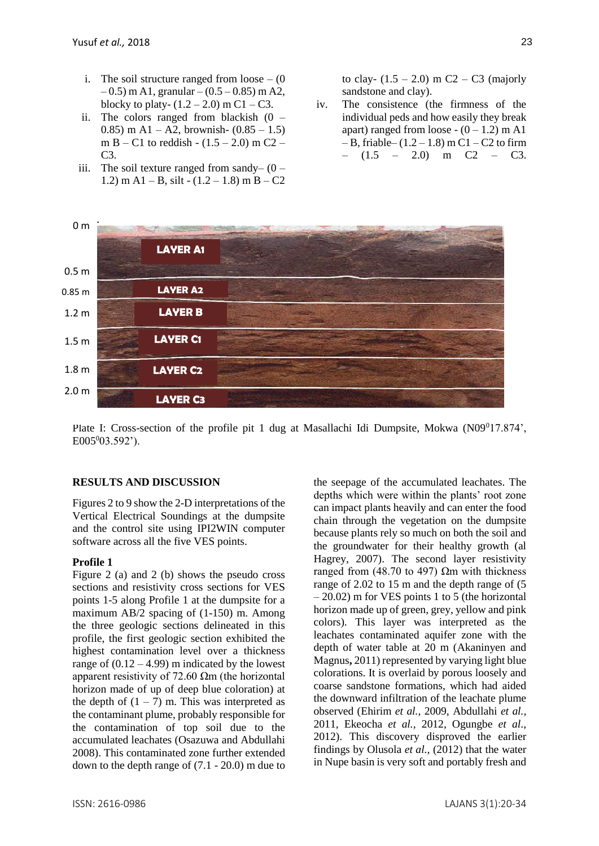- i. The soil structure ranged from loose  $-$  (0)  $-0.5$ ) m A1, granular – (0.5 – 0.85) m A2, blocky to platy-  $(1.2 - 2.0)$  m C1 – C3.
- ii. The colors ranged from blackish  $(0 -$ 0.85) m A1 – A2, brownish-  $(0.85 - 1.5)$ m B – C1 to reddish - (1.5 – 2.0) m C2 – C3.
- iii. The soil texture ranged from sandy–  $(0 -$ 1.2) m A1 – B, silt -  $(1.2 - 1.8)$  m B – C2

to clay-  $(1.5 - 2.0)$  m C2 – C3 (majorly sandstone and clay).

iv. The consistence (the firmness of the individual peds and how easily they break apart) ranged from loose  $- (0 - 1.2)$  m A1  $- B$ , friable–  $(1.2 – 1.8)$  m C1 – C2 to firm  $(1.5 - 2.0)$  m C2 – C3.



Plate I: Cross-section of the profile pit 1 dug at Masallachi Idi Dumpsite, Mokwa  $(N09^017.874)$ ,  $E005^003.592$ ').

#### **RESULTS AND DISCUSSION**

Figures 2 to 9 show the 2-D interpretations of the Vertical Electrical Soundings at the dumpsite and the control site using IPI2WIN computer software across all the five VES points.

# **Profile 1**

Figure 2 (a) and 2 (b) shows the pseudo cross sections and resistivity cross sections for VES points 1-5 along Profile 1 at the dumpsite for a maximum AB/2 spacing of (1-150) m. Among the three geologic sections delineated in this profile, the first geologic section exhibited the highest contamination level over a thickness range of  $(0.12 - 4.99)$  m indicated by the lowest apparent resistivity of 72.60  $\Omega$ m (the horizontal horizon made of up of deep blue coloration) at the depth of  $(1 – 7)$  m. This was interpreted as the contaminant plume, probably responsible for the contamination of top soil due to the accumulated leachates (Osazuwa and Abdullahi 2008). This contaminated zone further extended down to the depth range of (7.1 - 20.0) m due to the seepage of the accumulated leachates. The depths which were within the plants' root zone can impact plants heavily and can enter the food chain through the vegetation on the dumpsite because plants rely so much on both the soil and the groundwater for their healthy growth (al Hagrey, 2007). The second layer resistivity ranged from (48.70 to 497)  $Ωm$  with thickness range of 2.02 to 15 m and the depth range of (5  $-20.02$ ) m for VES points 1 to 5 (the horizontal horizon made up of green, grey, yellow and pink colors). This layer was interpreted as the leachates contaminated aquifer zone with the depth of water table at 20 m (Akaninyen and Magnus**,** 2011) represented by varying light blue colorations. It is overlaid by porous loosely and coarse sandstone formations, which had aided the downward infiltration of the leachate plume observed (Ehirim *et al.,* 2009, Abdullahi *et al.,*  2011, Ekeocha *et al.,* 2012, Ogungbe *et al*., 2012). This discovery disproved the earlier findings by Olusola *et al.,* (2012) that the water in Nupe basin is very soft and portably fresh and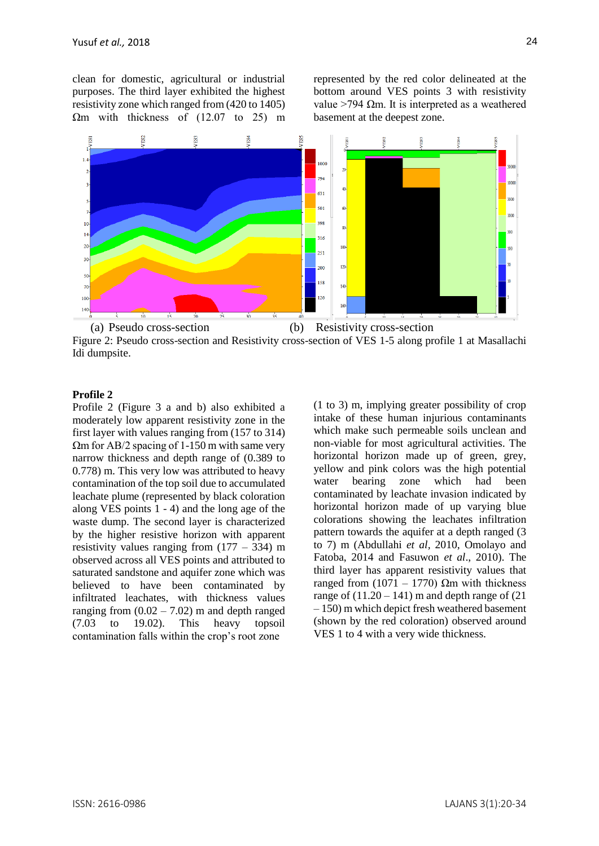clean for domestic, agricultural or industrial purposes. The third layer exhibited the highest resistivity zone which ranged from (420 to 1405)  $\Omega$ m with thickness of (12.07 to 25) m represented by the red color delineated at the bottom around VES points 3 with resistivity value >794 Ωm. It is interpreted as a weathered basement at the deepest zone.



Figure 2: Pseudo cross-section and Resistivity cross-section of VES 1-5 along profile 1 at Masallachi Idi dumpsite.

#### **Profile 2**

Profile 2 (Figure 3 a and b) also exhibited a moderately low apparent resistivity zone in the first layer with values ranging from (157 to 314) Ωm for AB/2 spacing of 1-150 m with same very narrow thickness and depth range of (0.389 to 0.778) m. This very low was attributed to heavy contamination of the top soil due to accumulated leachate plume (represented by black coloration along VES points 1 - 4) and the long age of the waste dump. The second layer is characterized by the higher resistive horizon with apparent resistivity values ranging from  $(177 - 334)$  m observed across all VES points and attributed to saturated sandstone and aquifer zone which was believed to have been contaminated by infiltrated leachates, with thickness values ranging from  $(0.02 - 7.02)$  m and depth ranged (7.03 to 19.02). This heavy topsoil contamination falls within the crop's root zone

(1 to 3) m, implying greater possibility of crop intake of these human injurious contaminants which make such permeable soils unclean and non-viable for most agricultural activities. The horizontal horizon made up of green, grey, yellow and pink colors was the high potential water bearing zone which had been contaminated by leachate invasion indicated by horizontal horizon made of up varying blue colorations showing the leachates infiltration pattern towards the aquifer at a depth ranged (3 to 7) m (Abdullahi *et al,* 2010, Omolayo and Fatoba, 2014 and Fasuwon *et al*., 2010). The third layer has apparent resistivity values that ranged from (1071 – 1770)  $\Omega$ m with thickness range of  $(11.20 - 141)$  m and depth range of  $(21$ – 150) m which depict fresh weathered basement (shown by the red coloration) observed around VES 1 to 4 with a very wide thickness.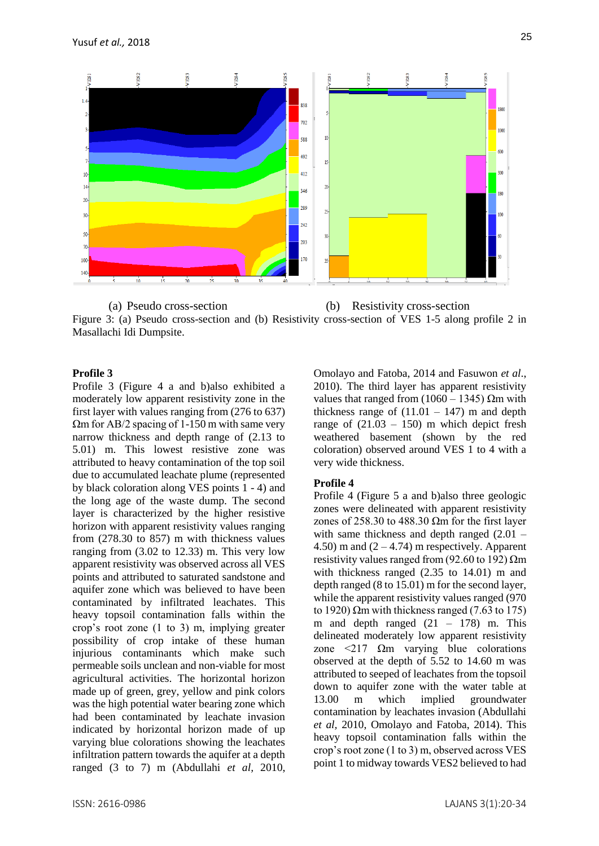

(a) Pseudo cross-section (b) Resistivity cross-section Figure 3: (a) Pseudo cross-section and (b) Resistivity cross-section of VES 1-5 along profile 2 in Masallachi Idi Dumpsite.

## **Profile 3**

Profile 3 (Figure 4 a and b)also exhibited a moderately low apparent resistivity zone in the first layer with values ranging from (276 to 637)  $\Omega$ m for AB/2 spacing of 1-150 m with same very narrow thickness and depth range of (2.13 to 5.01) m. This lowest resistive zone was attributed to heavy contamination of the top soil due to accumulated leachate plume (represented by black coloration along VES points 1 - 4) and the long age of the waste dump. The second layer is characterized by the higher resistive horizon with apparent resistivity values ranging from (278.30 to 857) m with thickness values ranging from (3.02 to 12.33) m. This very low apparent resistivity was observed across all VES points and attributed to saturated sandstone and aquifer zone which was believed to have been contaminated by infiltrated leachates. This heavy topsoil contamination falls within the crop's root zone (1 to 3) m, implying greater possibility of crop intake of these human injurious contaminants which make such permeable soils unclean and non-viable for most agricultural activities. The horizontal horizon made up of green, grey, yellow and pink colors was the high potential water bearing zone which had been contaminated by leachate invasion indicated by horizontal horizon made of up varying blue colorations showing the leachates infiltration pattern towards the aquifer at a depth ranged (3 to 7) m (Abdullahi *et al,* 2010, Omolayo and Fatoba, 2014 and Fasuwon *et al*., 2010). The third layer has apparent resistivity values that ranged from  $(1060 - 1345)$  Ωm with thickness range of  $(11.01 - 147)$  m and depth range of  $(21.03 - 150)$  m which depict fresh weathered basement (shown by the red coloration) observed around VES 1 to 4 with a very wide thickness.

#### **Profile 4**

Profile 4 (Figure 5 a and b)also three geologic zones were delineated with apparent resistivity zones of 258.30 to 488.30  $\Omega$ m for the first layer with same thickness and depth ranged  $(2.01 -$ 4.50) m and  $(2 - 4.74)$  m respectively. Apparent resistivity values ranged from (92.60 to 192)  $\Omega$ m with thickness ranged (2.35 to 14.01) m and depth ranged (8 to 15.01) m for the second layer, while the apparent resistivity values ranged (970 to 1920) Ωm with thickness ranged (7.63 to 175) m and depth ranged  $(21 - 178)$  m. This delineated moderately low apparent resistivity zone  $\langle 217 \Omega m \rangle$  varying blue colorations observed at the depth of 5.52 to 14.60 m was attributed to seeped of leachates from the topsoil down to aquifer zone with the water table at 13.00 m which implied groundwater contamination by leachates invasion (Abdullahi *et al,* 2010, Omolayo and Fatoba, 2014). This heavy topsoil contamination falls within the crop's root zone (1 to 3) m, observed across VES point 1 to midway towards VES2 believed to had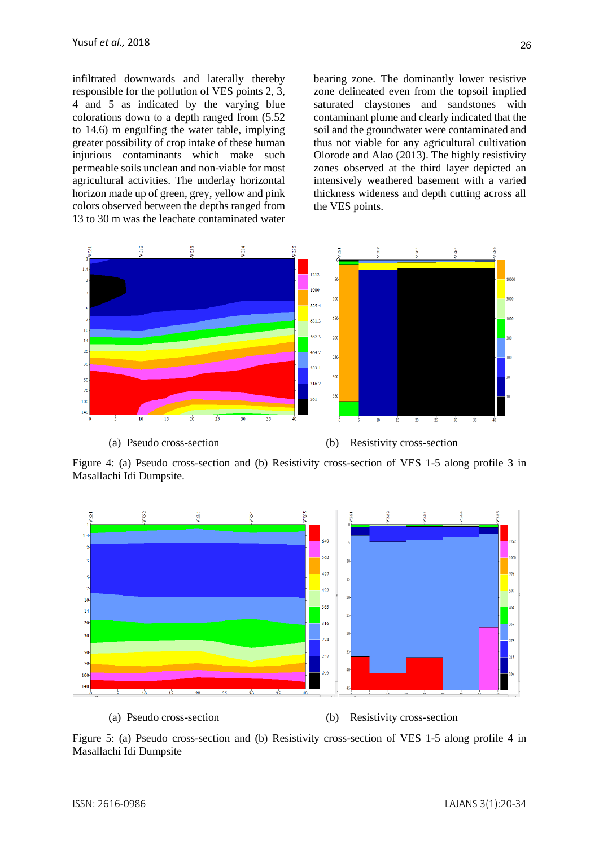infiltrated downwards and laterally thereby responsible for the pollution of VES points 2, 3, 4 and 5 as indicated by the varying blue colorations down to a depth ranged from (5.52 to 14.6) m engulfing the water table, implying greater possibility of crop intake of these human injurious contaminants which make such permeable soils unclean and non-viable for most agricultural activities. The underlay horizontal horizon made up of green, grey, yellow and pink colors observed between the depths ranged from 13 to 30 m was the leachate contaminated water bearing zone. The dominantly lower resistive zone delineated even from the topsoil implied saturated claystones and sandstones with contaminant plume and clearly indicated that the soil and the groundwater were contaminated and thus not viable for any agricultural cultivation Olorode and Alao (2013). The highly resistivity zones observed at the third layer depicted an intensively weathered basement with a varied thickness wideness and depth cutting across all the VES points.



Figure 4: (a) Pseudo cross-section and (b) Resistivity cross-section of VES 1-5 along profile 3 in Masallachi Idi Dumpsite.



Figure 5: (a) Pseudo cross-section and (b) Resistivity cross-section of VES 1-5 along profile 4 in Masallachi Idi Dumpsite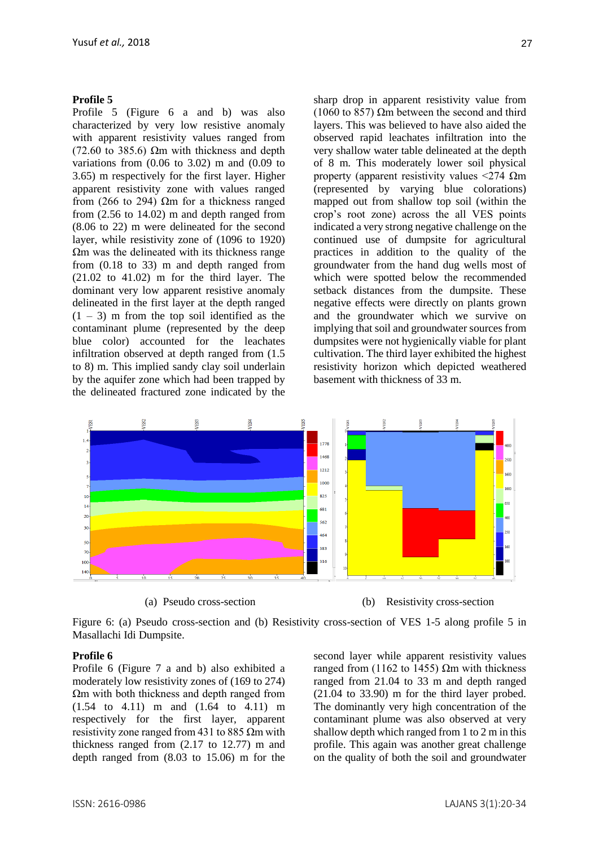#### **Profile 5**

Profile 5 (Figure 6 a and b) was also characterized by very low resistive anomaly with apparent resistivity values ranged from (72.60 to 385.6)  $\Omega$ m with thickness and depth variations from (0.06 to 3.02) m and (0.09 to 3.65) m respectively for the first layer. Higher apparent resistivity zone with values ranged from (266 to 294)  $\Omega$ m for a thickness ranged from (2.56 to 14.02) m and depth ranged from (8.06 to 22) m were delineated for the second layer, while resistivity zone of (1096 to 1920) Ωm was the delineated with its thickness range from (0.18 to 33) m and depth ranged from (21.02 to 41.02) m for the third layer. The dominant very low apparent resistive anomaly delineated in the first layer at the depth ranged  $(1 – 3)$  m from the top soil identified as the contaminant plume (represented by the deep blue color) accounted for the leachates infiltration observed at depth ranged from (1.5 to 8) m. This implied sandy clay soil underlain by the aquifer zone which had been trapped by the delineated fractured zone indicated by the sharp drop in apparent resistivity value from (1060 to 857)  $\Omega$ m between the second and third layers. This was believed to have also aided the observed rapid leachates infiltration into the very shallow water table delineated at the depth of 8 m. This moderately lower soil physical property (apparent resistivity values  $\langle 274 \Omega m$ (represented by varying blue colorations) mapped out from shallow top soil (within the crop's root zone) across the all VES points indicated a very strong negative challenge on the continued use of dumpsite for agricultural practices in addition to the quality of the groundwater from the hand dug wells most of which were spotted below the recommended setback distances from the dumpsite. These negative effects were directly on plants grown and the groundwater which we survive on implying that soil and groundwater sources from dumpsites were not hygienically viable for plant cultivation. The third layer exhibited the highest resistivity horizon which depicted weathered basement with thickness of 33 m.



(a) Pseudo cross-section (b) Resistivity cross-section

Figure 6: (a) Pseudo cross-section and (b) Resistivity cross-section of VES 1-5 along profile 5 in Masallachi Idi Dumpsite.

### **Profile 6**

Profile 6 (Figure 7 a and b) also exhibited a moderately low resistivity zones of (169 to 274) Ωm with both thickness and depth ranged from (1.54 to 4.11) m and (1.64 to 4.11) m respectively for the first layer, apparent resistivity zone ranged from 431 to 885  $\Omega$ m with thickness ranged from (2.17 to 12.77) m and depth ranged from (8.03 to 15.06) m for the second layer while apparent resistivity values ranged from (1162 to 1455) Ωm with thickness ranged from 21.04 to 33 m and depth ranged (21.04 to 33.90) m for the third layer probed. The dominantly very high concentration of the contaminant plume was also observed at very shallow depth which ranged from 1 to 2 m in this profile. This again was another great challenge on the quality of both the soil and groundwater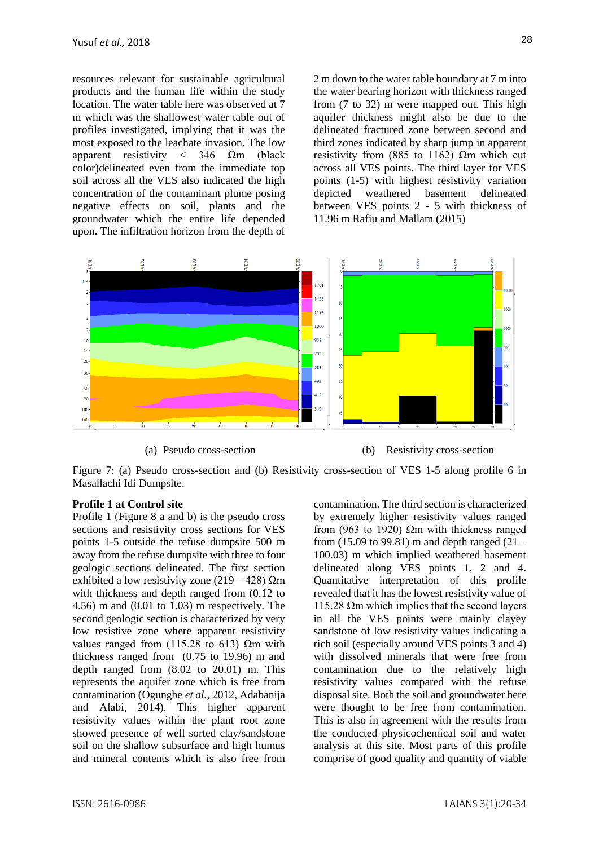resources relevant for sustainable agricultural products and the human life within the study location. The water table here was observed at 7 m which was the shallowest water table out of profiles investigated, implying that it was the most exposed to the leachate invasion. The low apparent resistivity  $\langle$  346  $\Omega$ m (black color)delineated even from the immediate top soil across all the VES also indicated the high concentration of the contaminant plume posing negative effects on soil, plants and the groundwater which the entire life depended upon. The infiltration horizon from the depth of 2 m down to the water table boundary at 7 m into the water bearing horizon with thickness ranged from (7 to 32) m were mapped out. This high aquifer thickness might also be due to the delineated fractured zone between second and third zones indicated by sharp jump in apparent resistivity from (885 to 1162)  $\Omega$ m which cut across all VES points. The third layer for VES points (1-5) with highest resistivity variation depicted weathered basement delineated between VES points 2 - 5 with thickness of 11.96 m Rafiu and Mallam (2015)



Figure 7: (a) Pseudo cross-section and (b) Resistivity cross-section of VES 1-5 along profile 6 in Masallachi Idi Dumpsite.

### **Profile 1 at Control site**

Profile 1 (Figure 8 a and b) is the pseudo cross sections and resistivity cross sections for VES points 1-5 outside the refuse dumpsite 500 m away from the refuse dumpsite with three to four geologic sections delineated. The first section exhibited a low resistivity zone  $(219 - 428)$  Ωm with thickness and depth ranged from (0.12 to 4.56) m and (0.01 to 1.03) m respectively. The second geologic section is characterized by very low resistive zone where apparent resistivity values ranged from (115.28 to 613)  $Ωm$  with thickness ranged from (0.75 to 19.96) m and depth ranged from (8.02 to 20.01) m. This represents the aquifer zone which is free from contamination (Ogungbe *et al.,* 2012, Adabanija and Alabi, 2014). This higher apparent resistivity values within the plant root zone showed presence of well sorted clay/sandstone soil on the shallow subsurface and high humus and mineral contents which is also free from contamination. The third section is characterized by extremely higher resistivity values ranged from (963 to 1920)  $\Omega$ m with thickness ranged from (15.09 to 99.81) m and depth ranged  $(21 -$ 100.03) m which implied weathered basement delineated along VES points 1, 2 and 4. Quantitative interpretation of this profile revealed that it has the lowest resistivity value of 115.28  $Ωm$  which implies that the second layers in all the VES points were mainly clayey sandstone of low resistivity values indicating a rich soil (especially around VES points 3 and 4) with dissolved minerals that were free from contamination due to the relatively high resistivity values compared with the refuse disposal site. Both the soil and groundwater here were thought to be free from contamination. This is also in agreement with the results from the conducted physicochemical soil and water analysis at this site. Most parts of this profile comprise of good quality and quantity of viable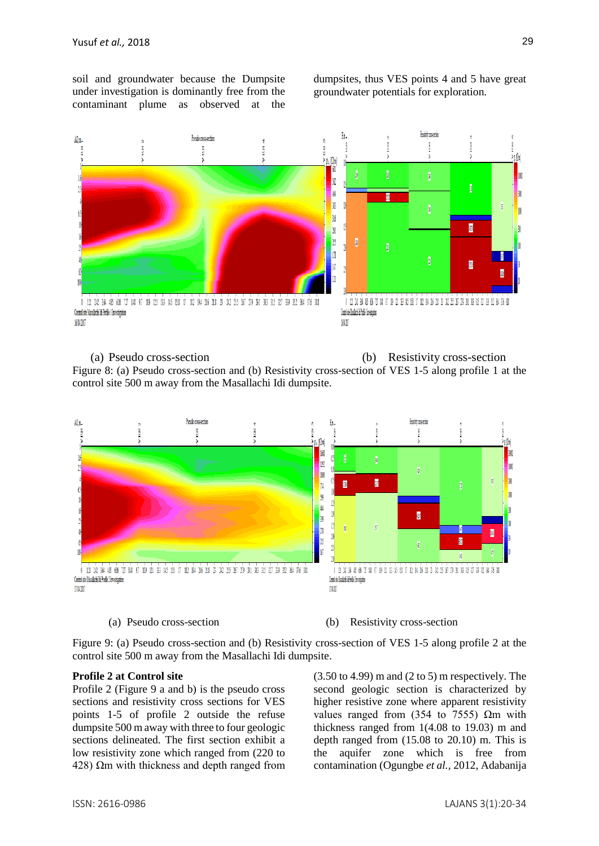soil and groundwater because the Dumpsite under investigation is dominantly free from the contaminant plume as observed at the dumpsites, thus VES points 4 and 5 have great groundwater potentials for exploration.



(a) Pseudo cross-section (b) Resistivity cross-section Figure 8: (a) Pseudo cross-section and (b) Resistivity cross-section of VES 1-5 along profile 1 at the control site 500 m away from the Masallachi Idi dumpsite.



(a) Pseudo cross-section (b) Resistivity cross-section

Figure 9: (a) Pseudo cross-section and (b) Resistivity cross-section of VES 1-5 along profile 2 at the control site 500 m away from the Masallachi Idi dumpsite.

#### **Profile 2 at Control site**

Profile 2 (Figure 9 a and b) is the pseudo cross sections and resistivity cross sections for VES points 1-5 of profile 2 outside the refuse dumpsite 500 m away with three to four geologic sections delineated. The first section exhibit a low resistivity zone which ranged from (220 to 428)  $Ωm$  with thickness and depth ranged from (3.50 to 4.99) m and (2 to 5) m respectively. The second geologic section is characterized by higher resistive zone where apparent resistivity values ranged from (354 to 7555)  $\Omega$ m with thickness ranged from 1(4.08 to 19.03) m and depth ranged from (15.08 to 20.10) m. This is the aquifer zone which is free from contamination (Ogungbe *et al.,* 2012, Adabanija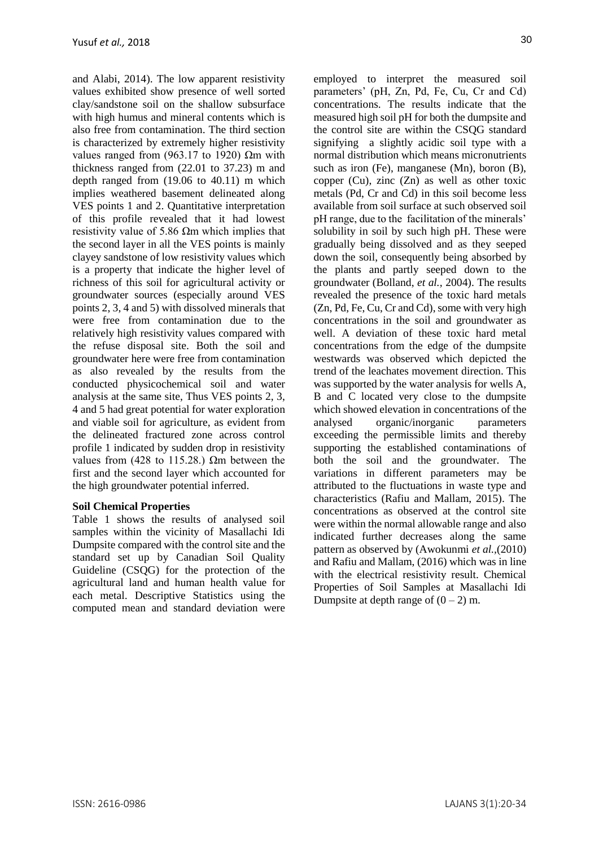and Alabi, 2014). The low apparent resistivity values exhibited show presence of well sorted clay/sandstone soil on the shallow subsurface with high humus and mineral contents which is also free from contamination. The third section is characterized by extremely higher resistivity values ranged from (963.17 to 1920) Ωm with thickness ranged from (22.01 to 37.23) m and depth ranged from (19.06 to 40.11) m which implies weathered basement delineated along VES points 1 and 2. Quantitative interpretation of this profile revealed that it had lowest resistivity value of 5.86  $Ωm$  which implies that the second layer in all the VES points is mainly clayey sandstone of low resistivity values which is a property that indicate the higher level of richness of this soil for agricultural activity or groundwater sources (especially around VES points 2, 3, 4 and 5) with dissolved minerals that were free from contamination due to the relatively high resistivity values compared with the refuse disposal site. Both the soil and groundwater here were free from contamination as also revealed by the results from the conducted physicochemical soil and water analysis at the same site, Thus VES points 2, 3, 4 and 5 had great potential for water exploration and viable soil for agriculture, as evident from the delineated fractured zone across control profile 1 indicated by sudden drop in resistivity values from (428 to 115.28.) Ωm between the first and the second layer which accounted for the high groundwater potential inferred.

# **Soil Chemical Properties**

Table 1 shows the results of analysed soil samples within the vicinity of Masallachi Idi Dumpsite compared with the control site and the standard set up by Canadian Soil Quality Guideline (CSQG) for the protection of the agricultural land and human health value for each metal. Descriptive Statistics using the computed mean and standard deviation were 30

employed to interpret the measured soil parameters' (pH, Zn, Pd, Fe, Cu, Cr and Cd) concentrations. The results indicate that the measured high soil pH for both the dumpsite and the control site are within the CSQG standard signifying a slightly acidic soil type with a normal distribution which means micronutrients such as iron (Fe), manganese (Mn), boron (B), copper (Cu), zinc (Zn) as well as other toxic metals (Pd, Cr and Cd) in this soil become less available from soil surface at such observed soil pH range, due to the facilitation of the minerals' solubility in soil by such high pH. These were gradually being dissolved and as they seeped down the soil, consequently being absorbed by the plants and partly seeped down to the groundwater (Bolland, *et al.,* 2004). The results revealed the presence of the toxic hard metals (Zn, Pd, Fe, Cu, Cr and Cd), some with very high concentrations in the soil and groundwater as well. A deviation of these toxic hard metal concentrations from the edge of the dumpsite westwards was observed which depicted the trend of the leachates movement direction. This was supported by the water analysis for wells A, B and C located very close to the dumpsite which showed elevation in concentrations of the analysed organic/inorganic parameters exceeding the permissible limits and thereby supporting the established contaminations of both the soil and the groundwater. The variations in different parameters may be attributed to the fluctuations in waste type and characteristics (Rafiu and Mallam, 2015). The concentrations as observed at the control site were within the normal allowable range and also indicated further decreases along the same pattern as observed by (Awokunmi *et al.,*(2010) and Rafiu and Mallam, (2016) which was in line with the electrical resistivity result. Chemical Properties of Soil Samples at Masallachi Idi Dumpsite at depth range of  $(0 – 2)$  m.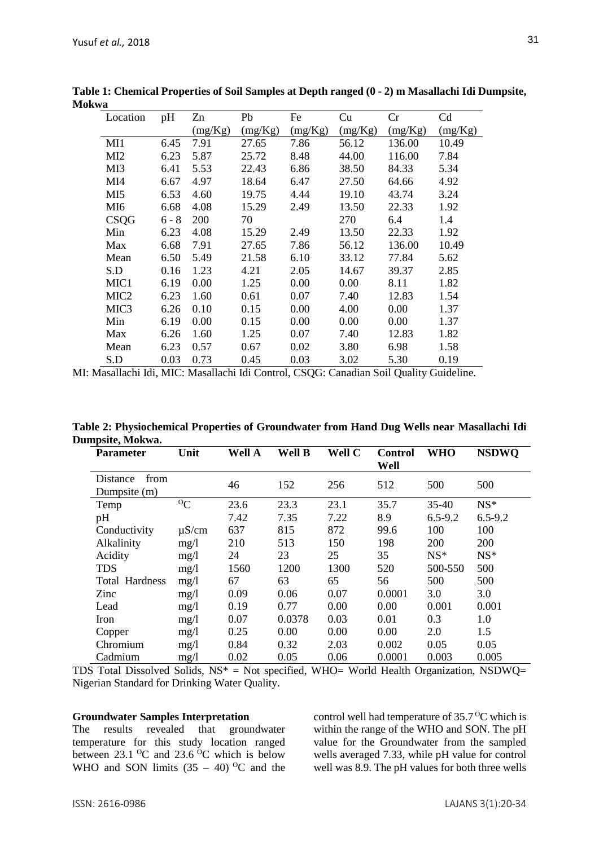| Location         | pH      | Zn      | Pb      | Fe      | Cu      | Cr      | Cd      |
|------------------|---------|---------|---------|---------|---------|---------|---------|
|                  |         | (mg/Kg) | (mg/Kg) | (mg/Kg) | (mg/Kg) | (mg/Kg) | (mg/Kg) |
| M11              | 6.45    | 7.91    | 27.65   | 7.86    | 56.12   | 136.00  | 10.49   |
| MI <sub>2</sub>  | 6.23    | 5.87    | 25.72   | 8.48    | 44.00   | 116.00  | 7.84    |
| MI3              | 6.41    | 5.53    | 22.43   | 6.86    | 38.50   | 84.33   | 5.34    |
| MI4              | 6.67    | 4.97    | 18.64   | 6.47    | 27.50   | 64.66   | 4.92    |
| MI <sub>5</sub>  | 6.53    | 4.60    | 19.75   | 4.44    | 19.10   | 43.74   | 3.24    |
| MI6              | 6.68    | 4.08    | 15.29   | 2.49    | 13.50   | 22.33   | 1.92    |
| CSQG             | $6 - 8$ | 200     | 70      |         | 270     | 6.4     | 1.4     |
| Min              | 6.23    | 4.08    | 15.29   | 2.49    | 13.50   | 22.33   | 1.92    |
| Max              | 6.68    | 7.91    | 27.65   | 7.86    | 56.12   | 136.00  | 10.49   |
| Mean             | 6.50    | 5.49    | 21.58   | 6.10    | 33.12   | 77.84   | 5.62    |
| S.D              | 0.16    | 1.23    | 4.21    | 2.05    | 14.67   | 39.37   | 2.85    |
| MIC1             | 6.19    | 0.00    | 1.25    | 0.00    | 0.00    | 8.11    | 1.82    |
| MIC <sub>2</sub> | 6.23    | 1.60    | 0.61    | 0.07    | 7.40    | 12.83   | 1.54    |
| MIC <sub>3</sub> | 6.26    | 0.10    | 0.15    | 0.00    | 4.00    | 0.00    | 1.37    |
| Min              | 6.19    | 0.00    | 0.15    | 0.00    | 0.00    | 0.00    | 1.37    |
| Max              | 6.26    | 1.60    | 1.25    | 0.07    | 7.40    | 12.83   | 1.82    |
| Mean             | 6.23    | 0.57    | 0.67    | 0.02    | 3.80    | 6.98    | 1.58    |
| S.D              | 0.03    | 0.73    | 0.45    | 0.03    | 3.02    | 5.30    | 0.19    |

**Table 1: Chemical Properties of Soil Samples at Depth ranged (0 - 2) m Masallachi Idi Dumpsite, Mokwa**

MI: Masallachi Idi, MIC: Masallachi Idi Control, CSQG: Canadian Soil Quality Guideline.

**Table 2: Physiochemical Properties of Groundwater from Hand Dug Wells near Masallachi Idi Dumpsite, Mokwa.**

| <b>Parameter</b>                 | Unit          | Well A | Well B | Well C | <b>Control</b><br>Well | WHO         | <b>NSDWO</b> |
|----------------------------------|---------------|--------|--------|--------|------------------------|-------------|--------------|
| from<br>Distance<br>Dumpsite (m) |               | 46     | 152    | 256    | 512                    | 500         | 500          |
| Temp                             | ${}^{\circ}C$ | 23.6   | 23.3   | 23.1   | 35.7                   | $35-40$     | $NS*$        |
| pH                               |               | 7.42   | 7.35   | 7.22   | 8.9                    | $6.5 - 9.2$ | $6.5 - 9.2$  |
| Conductivity                     | $\mu$ S/cm    | 637    | 815    | 872    | 99.6                   | 100         | 100          |
| Alkalinity                       | mg/1          | 210    | 513    | 150    | 198                    | <b>200</b>  | 200          |
| Acidity                          | mg/1          | 24     | 23     | 25     | 35                     | $NS*$       | $NS*$        |
| <b>TDS</b>                       | mg/1          | 1560   | 1200   | 1300   | 520                    | 500-550     | 500          |
| <b>Total Hardness</b>            | mg/1          | 67     | 63     | 65     | 56                     | 500         | 500          |
| Zinc                             | mg/1          | 0.09   | 0.06   | 0.07   | 0.0001                 | 3.0         | 3.0          |
| Lead                             | mg/1          | 0.19   | 0.77   | 0.00   | 0.00                   | 0.001       | 0.001        |
| Iron                             | mg/1          | 0.07   | 0.0378 | 0.03   | 0.01                   | 0.3         | 1.0          |
| Copper                           | mg/1          | 0.25   | 0.00   | 0.00   | 0.00                   | 2.0         | 1.5          |
| Chromium                         | mg/1          | 0.84   | 0.32   | 2.03   | 0.002                  | 0.05        | 0.05         |
| Cadmium                          | mg/1          | 0.02   | 0.05   | 0.06   | 0.0001                 | 0.003       | 0.005        |

TDS Total Dissolved Solids,  $NS^* = Not$  specified, WHO= World Health Organization, NSDWQ= Nigerian Standard for Drinking Water Quality.

#### **Groundwater Samples Interpretation**

The results revealed that groundwater temperature for this study location ranged between  $23.1 \text{ }^{\circ}\text{C}$  and  $23.6 \text{ }^{\circ}\text{C}$  which is below WHO and SON limits  $(35 - 40)$  <sup>o</sup>C and the control well had temperature of  $35.7^{\circ}$ C which is within the range of the WHO and SON. The pH value for the Groundwater from the sampled wells averaged 7.33, while pH value for control well was 8.9. The pH values for both three wells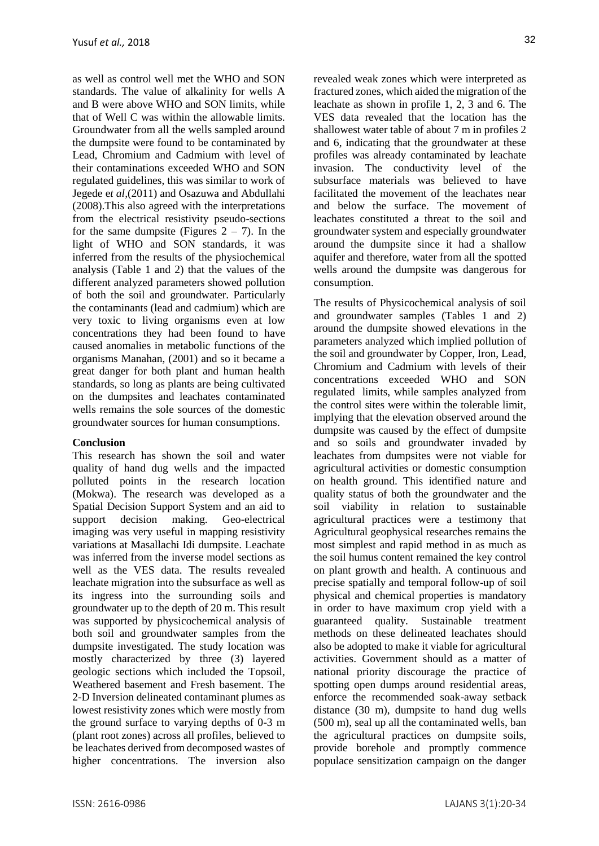as well as control well met the WHO and SON standards. The value of alkalinity for wells A and B were above WHO and SON limits, while that of Well C was within the allowable limits. Groundwater from all the wells sampled around the dumpsite were found to be contaminated by Lead, Chromium and Cadmium with level of their contaminations exceeded WHO and SON regulated guidelines, this was similar to work of Jegede e*t al,*(2011) and Osazuwa and Abdullahi (2008).This also agreed with the interpretations from the electrical resistivity pseudo-sections for the same dumpsite (Figures  $2 - 7$ ). In the light of WHO and SON standards, it was inferred from the results of the physiochemical analysis (Table 1 and 2) that the values of the different analyzed parameters showed pollution of both the soil and groundwater. Particularly the contaminants (lead and cadmium) which are very toxic to living organisms even at low concentrations they had been found to have caused anomalies in metabolic functions of the organisms Manahan, (2001) and so it became a great danger for both plant and human health standards, so long as plants are being cultivated on the dumpsites and leachates contaminated wells remains the sole sources of the domestic groundwater sources for human consumptions.

# **Conclusion**

This research has shown the soil and water quality of hand dug wells and the impacted polluted points in the research location (Mokwa). The research was developed as a Spatial Decision Support System and an aid to support decision making. Geo-electrical imaging was very useful in mapping resistivity variations at Masallachi Idi dumpsite. Leachate was inferred from the inverse model sections as well as the VES data. The results revealed leachate migration into the subsurface as well as its ingress into the surrounding soils and groundwater up to the depth of 20 m. This result was supported by physicochemical analysis of both soil and groundwater samples from the dumpsite investigated. The study location was mostly characterized by three (3) layered geologic sections which included the Topsoil, Weathered basement and Fresh basement. The 2-D Inversion delineated contaminant plumes as lowest resistivity zones which were mostly from the ground surface to varying depths of 0-3 m (plant root zones) across all profiles, believed to be leachates derived from decomposed wastes of higher concentrations. The inversion also revealed weak zones which were interpreted as fractured zones, which aided the migration of the leachate as shown in profile 1, 2, 3 and 6. The VES data revealed that the location has the shallowest water table of about 7 m in profiles 2 and 6, indicating that the groundwater at these profiles was already contaminated by leachate invasion. The conductivity level of the subsurface materials was believed to have facilitated the movement of the leachates near and below the surface. The movement of leachates constituted a threat to the soil and groundwater system and especially groundwater around the dumpsite since it had a shallow aquifer and therefore, water from all the spotted wells around the dumpsite was dangerous for consumption.

The results of Physicochemical analysis of soil and groundwater samples (Tables 1 and 2) around the dumpsite showed elevations in the parameters analyzed which implied pollution of the soil and groundwater by Copper, Iron, Lead, Chromium and Cadmium with levels of their concentrations exceeded WHO and SON regulated limits, while samples analyzed from the control sites were within the tolerable limit, implying that the elevation observed around the dumpsite was caused by the effect of dumpsite and so soils and groundwater invaded by leachates from dumpsites were not viable for agricultural activities or domestic consumption on health ground. This identified nature and quality status of both the groundwater and the soil viability in relation to sustainable agricultural practices were a testimony that Agricultural geophysical researches remains the most simplest and rapid method in as much as the soil humus content remained the key control on plant growth and health. A continuous and precise spatially and temporal follow-up of soil physical and chemical properties is mandatory in order to have maximum crop yield with a guaranteed quality. Sustainable treatment methods on these delineated leachates should also be adopted to make it viable for agricultural activities. Government should as a matter of national priority discourage the practice of spotting open dumps around residential areas, enforce the recommended soak-away setback distance (30 m), dumpsite to hand dug wells (500 m), seal up all the contaminated wells, ban the agricultural practices on dumpsite soils, provide borehole and promptly commence populace sensitization campaign on the danger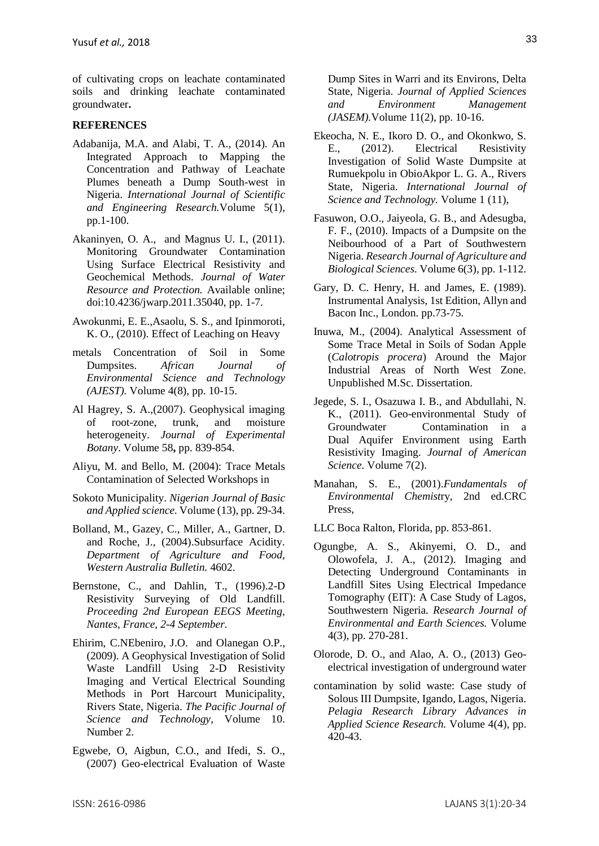of cultivating crops on leachate contaminated soils and drinking leachate contaminated groundwater**.** 

### **REFERENCES**

- Adabanija, M.A. and Alabi, T. A., (2014). An Integrated Approach to Mapping the Concentration and Pathway of Leachate Plumes beneath a Dump South-west in Nigeria. *International Journal of Scientific and Engineering Research.*Volume 5(1), pp.1-100.
- Akaninyen, O. A., and Magnus U. I., (2011). Monitoring Groundwater Contamination Using Surface Electrical Resistivity and Geochemical Methods. *Journal of Water Resource and Protection.* Available online; doi:10.4236/jwarp.2011.35040, pp. 1-7.
- Awokunmi, E. E.,Asaolu, S. S., and Ipinmoroti, K. O., (2010). Effect of Leaching on Heavy
- metals Concentration of Soil in Some Dumpsites. *African Journal of Environmental Science and Technology (AJEST).* Volume 4(8), pp. 10-15.
- Al Hagrey, S. A.,(2007). Geophysical imaging of root-zone, trunk, and moisture heterogeneity. *Journal of Experimental Botany*. Volume 58**,** pp. 839-854.
- Aliyu, M. and Bello, M. (2004): Trace Metals Contamination of Selected Workshops in
- Sokoto Municipality. *Nigerian Journal of Basic and Applied science.* Volume (13), pp. 29-34.
- Bolland, M., Gazey, C., Miller, A., Gartner, D. and Roche, J., (2004).Subsurface Acidity. *Department of Agriculture and Food, Western Australia Bulletin.* 4602.
- Bernstone, C., and Dahlin, T., (1996).2-D Resistivity Surveying of Old Landfill. *Proceeding 2nd European EEGS Meeting, Nantes, France, 2-4 September.*
- Ehirim, C.NEbeniro, J.O. and Olanegan O.P., (2009). A Geophysical Investigation of Solid Waste Landfill Using 2-D Resistivity Imaging and Vertical Electrical Sounding Methods in Port Harcourt Municipality, Rivers State, Nigeria. *The Pacific Journal of Science and Technology*, Volume 10. Number 2.
- Egwebe, O, Aigbun, C.O., and Ifedi, S. O., (2007) Geo-electrical Evaluation of Waste

Dump Sites in Warri and its Environs, Delta State, Nigeria. *Journal of Applied Sciences and Environment Management (JASEM).*Volume 11(2), pp. 10-16.

- Ekeocha, N. E., Ikoro D. O., and Okonkwo, S. E., (2012). Electrical Resistivity Investigation of Solid Waste Dumpsite at Rumuekpolu in ObioAkpor L. G. A., Rivers State, Nigeria. *International Journal of Science and Technology.* Volume 1 (11),
- Fasuwon, O.O., Jaiyeola, G. B., and Adesugba, F. F., (2010). Impacts of a Dumpsite on the Neibourhood of a Part of Southwestern Nigeria. *Research Journal of Agriculture and Biological Sciences.* Volume 6(3)*,* pp. 1-112.
- Gary, D. C. Henry, H. and James, E. (1989). Instrumental Analysis, 1st Edition, Allyn and Bacon Inc., London. pp.73-75.
- Inuwa, M., (2004). Analytical Assessment of Some Trace Metal in Soils of Sodan Apple (*Calotropis procera*) Around the Major Industrial Areas of North West Zone. Unpublished M.Sc. Dissertation.
- Jegede, S. I., Osazuwa I. B., and Abdullahi, N. K., (2011). Geo-environmental Study of Groundwater Contamination in a Dual Aquifer Environment using Earth Resistivity Imaging. *Journal of American Science.* Volume 7(2).
- Manahan, S. E., (2001).*Fundamentals of Environmental Chemist*ry, 2nd ed.CRC Press,
- LLC Boca Ralton, Florida, pp. 853-861.
- Ogungbe, A. S., Akinyemi, O. D., and Olowofela, J. A., (2012). Imaging and Detecting Underground Contaminants in Landfill Sites Using Electrical Impedance Tomography (EIT): A Case Study of Lagos, Southwestern Nigeria*. Research Journal of Environmental and Earth Sciences.* Volume 4(3), pp. 270-281.
- Olorode, D. O., and Alao, A. O., (2013) Geoelectrical investigation of underground water
- contamination by solid waste: Case study of Solous III Dumpsite, Igando, Lagos, Nigeria. *Pelagia Research Library Advances in Applied Science Research.* Volume 4(4), pp. 420-43.